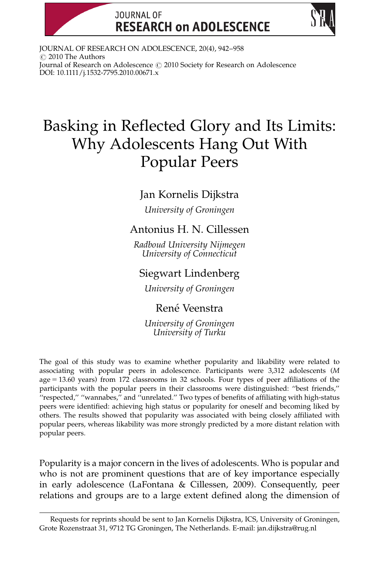# **JOURNAL OF RESEARCH on ADOLESCENCE**



JOURNAL OF RESEARCH ON ADOLESCENCE, 20(4), 942–958  $\odot$  2010 The Authors Journal of Research on Adolescence  $\odot$  2010 Society for Research on Adolescence DOI: 10.1111/j.1532-7795.2010.00671.x

# Basking in Reflected Glory and Its Limits: Why Adolescents Hang Out With Popular Peers

# Jan Kornelis Dijkstra

University of Groningen

# Antonius H. N. Cillessen

Radboud University Nijmegen University of Connecticut

# Siegwart Lindenberg

University of Groningen

# René Veenstra

University of Groningen University of Turku

The goal of this study was to examine whether popularity and likability were related to associating with popular peers in adolescence. Participants were 3,312 adolescents (M  $age = 13.60 \text{ years}$ ) from 172 classrooms in 32 schools. Four types of peer affiliations of the participants with the popular peers in their classrooms were distinguished: ''best friends,'' ''respected,'' ''wannabes,'' and ''unrelated.'' Two types of benefits of affiliating with high-status peers were identified: achieving high status or popularity for oneself and becoming liked by others. The results showed that popularity was associated with being closely affiliated with popular peers, whereas likability was more strongly predicted by a more distant relation with popular peers.

Popularity is a major concern in the lives of adolescents. Who is popular and who is not are prominent questions that are of key importance especially in early adolescence (LaFontana & Cillessen, 2009). Consequently, peer relations and groups are to a large extent defined along the dimension of

Requests for reprints should be sent to Jan Kornelis Dijkstra, ICS, University of Groningen, Grote Rozenstraat 31, 9712 TG Groningen, The Netherlands. E-mail: [jan.dijkstra@rug.nl](mailto:jan.dijkstra@rug.nl)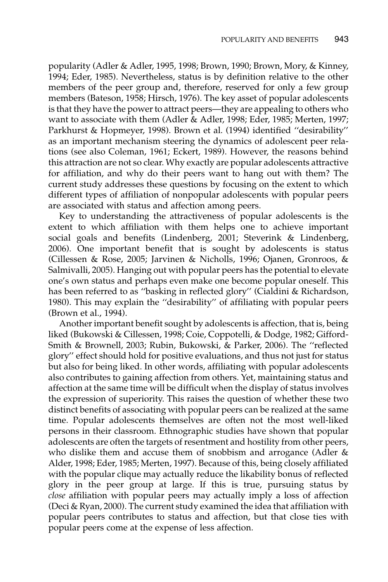popularity (Adler & Adler, 1995, 1998; Brown, 1990; Brown, Mory, & Kinney, 1994; Eder, 1985). Nevertheless, status is by definition relative to the other members of the peer group and, therefore, reserved for only a few group members (Bateson, 1958; Hirsch, 1976). The key asset of popular adolescents is that they have the power to attract peers—they are appealing to others who want to associate with them (Adler & Adler, 1998; Eder, 1985; Merten, 1997; Parkhurst & Hopmeyer, 1998). Brown et al. (1994) identified ''desirability'' as an important mechanism steering the dynamics of adolescent peer relations (see also Coleman, 1961; Eckert, 1989). However, the reasons behind this attraction are not so clear. Why exactly are popular adolescents attractive for affiliation, and why do their peers want to hang out with them? The current study addresses these questions by focusing on the extent to which different types of affiliation of nonpopular adolescents with popular peers are associated with status and affection among peers.

Key to understanding the attractiveness of popular adolescents is the extent to which affiliation with them helps one to achieve important social goals and benefits (Lindenberg, 2001; Steverink & Lindenberg, 2006). One important benefit that is sought by adolescents is status (Cillessen & Rose, 2005; Jarvinen & Nicholls, 1996; Ojanen, Gronroos, & Salmivalli, 2005). Hanging out with popular peers has the potential to elevate one's own status and perhaps even make one become popular oneself. This has been referred to as ''basking in reflected glory'' (Cialdini & Richardson, 1980). This may explain the ''desirability'' of affiliating with popular peers (Brown et al., 1994).

Another important benefit sought by adolescents is affection, that is, being liked (Bukowski & Cillessen, 1998; Coie, Coppotelli, & Dodge, 1982; Gifford-Smith & Brownell, 2003; Rubin, Bukowski, & Parker, 2006). The ''reflected glory'' effect should hold for positive evaluations, and thus not just for status but also for being liked. In other words, affiliating with popular adolescents also contributes to gaining affection from others. Yet, maintaining status and affection at the same time will be difficult when the display of status involves the expression of superiority. This raises the question of whether these two distinct benefits of associating with popular peers can be realized at the same time. Popular adolescents themselves are often not the most well-liked persons in their classroom. Ethnographic studies have shown that popular adolescents are often the targets of resentment and hostility from other peers, who dislike them and accuse them of snobbism and arrogance (Adler  $\&$ Alder, 1998; Eder, 1985; Merten, 1997). Because of this, being closely affiliated with the popular clique may actually reduce the likability bonus of reflected glory in the peer group at large. If this is true, pursuing status by close affiliation with popular peers may actually imply a loss of affection (Deci & Ryan, 2000). The current study examined the idea that affiliation with popular peers contributes to status and affection, but that close ties with popular peers come at the expense of less affection.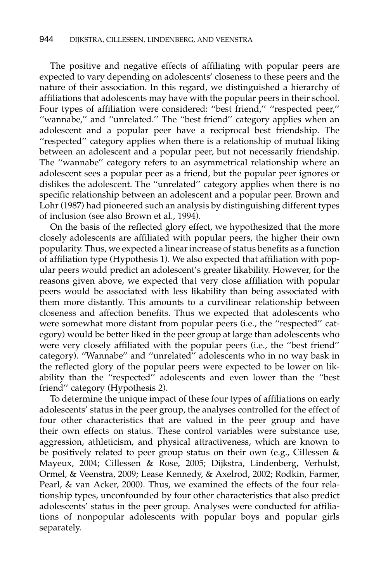The positive and negative effects of affiliating with popular peers are expected to vary depending on adolescents' closeness to these peers and the nature of their association. In this regard, we distinguished a hierarchy of affiliations that adolescents may have with the popular peers in their school. Four types of affiliation were considered: ''best friend,'' ''respected peer,'' "wannabe," and "unrelated." The "best friend" category applies when an adolescent and a popular peer have a reciprocal best friendship. The "respected" category applies when there is a relationship of mutual liking between an adolescent and a popular peer, but not necessarily friendship. The ''wannabe'' category refers to an asymmetrical relationship where an adolescent sees a popular peer as a friend, but the popular peer ignores or dislikes the adolescent. The ''unrelated'' category applies when there is no specific relationship between an adolescent and a popular peer. Brown and Lohr (1987) had pioneered such an analysis by distinguishing different types of inclusion (see also Brown et al., 1994).

On the basis of the reflected glory effect, we hypothesized that the more closely adolescents are affiliated with popular peers, the higher their own popularity. Thus, we expected a linear increase of status benefits as a function of affiliation type (Hypothesis 1). We also expected that affiliation with popular peers would predict an adolescent's greater likability. However, for the reasons given above, we expected that very close affiliation with popular peers would be associated with less likability than being associated with them more distantly. This amounts to a curvilinear relationship between closeness and affection benefits. Thus we expected that adolescents who were somewhat more distant from popular peers (i.e., the ''respected'' category) would be better liked in the peer group at large than adolescents who were very closely affiliated with the popular peers (i.e., the ''best friend'' category). ''Wannabe'' and ''unrelated'' adolescents who in no way bask in the reflected glory of the popular peers were expected to be lower on likability than the ''respected'' adolescents and even lower than the ''best friend'' category (Hypothesis 2).

To determine the unique impact of these four types of affiliations on early adolescents' status in the peer group, the analyses controlled for the effect of four other characteristics that are valued in the peer group and have their own effects on status. These control variables were substance use, aggression, athleticism, and physical attractiveness, which are known to be positively related to peer group status on their own (e.g., Cillessen & Mayeux, 2004; Cillessen & Rose, 2005; Dijkstra, Lindenberg, Verhulst, Ormel, & Veenstra, 2009; Lease Kennedy, & Axelrod, 2002; Rodkin, Farmer, Pearl, & van Acker, 2000). Thus, we examined the effects of the four relationship types, unconfounded by four other characteristics that also predict adolescents' status in the peer group. Analyses were conducted for affiliations of nonpopular adolescents with popular boys and popular girls separately.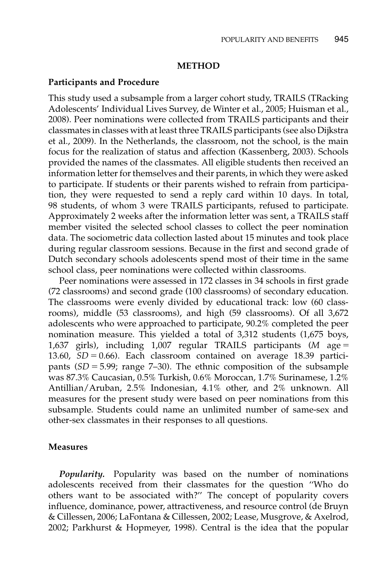#### **METHOD**

### Participants and Procedure

This study used a subsample from a larger cohort study, TRAILS (TRacking Adolescents' Individual Lives Survey, de Winter et al., 2005; Huisman et al., 2008). Peer nominations were collected from TRAILS participants and their classmates in classes with at least three TRAILS participants (see also Dijkstra et al., 2009). In the Netherlands, the classroom, not the school, is the main focus for the realization of status and affection (Kassenberg, 2003). Schools provided the names of the classmates. All eligible students then received an information letter for themselves and their parents, in which they were asked to participate. If students or their parents wished to refrain from participation, they were requested to send a reply card within 10 days. In total, 98 students, of whom 3 were TRAILS participants, refused to participate. Approximately 2 weeks after the information letter was sent, a TRAILS staff member visited the selected school classes to collect the peer nomination data. The sociometric data collection lasted about 15 minutes and took place during regular classroom sessions. Because in the first and second grade of Dutch secondary schools adolescents spend most of their time in the same school class, peer nominations were collected within classrooms.

Peer nominations were assessed in 172 classes in 34 schools in first grade (72 classrooms) and second grade (100 classrooms) of secondary education. The classrooms were evenly divided by educational track: low (60 classrooms), middle (53 classrooms), and high (59 classrooms). Of all 3,672 adolescents who were approached to participate, 90.2% completed the peer nomination measure. This yielded a total of 3,312 students (1,675 boys, 1,637 girls), including 1,007 regular TRAILS participants ( $M$  age = 13.60,  $SD = 0.66$ ). Each classroom contained on average 18.39 participants  $(SD = 5.99)$ ; range 7–30). The ethnic composition of the subsample was 87.3% Caucasian, 0.5% Turkish, 0.6% Moroccan, 1.7% Surinamese, 1.2% Antillian/Aruban, 2.5% Indonesian, 4.1% other, and 2% unknown. All measures for the present study were based on peer nominations from this subsample. Students could name an unlimited number of same-sex and other-sex classmates in their responses to all questions.

#### Measures

Popularity. Popularity was based on the number of nominations adolescents received from their classmates for the question ''Who do others want to be associated with?'' The concept of popularity covers influence, dominance, power, attractiveness, and resource control (de Bruyn & Cillessen, 2006; LaFontana & Cillessen, 2002; Lease, Musgrove, & Axelrod, 2002; Parkhurst & Hopmeyer, 1998). Central is the idea that the popular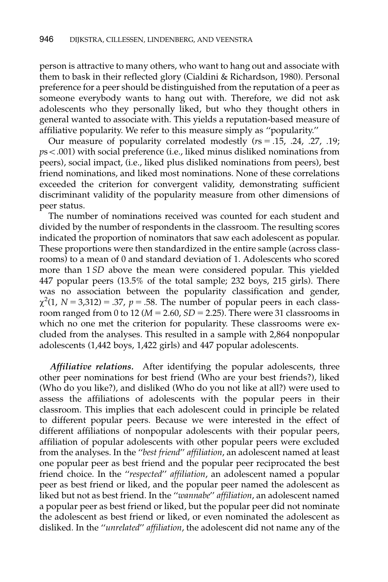person is attractive to many others, who want to hang out and associate with them to bask in their reflected glory (Cialdini & Richardson, 1980). Personal preference for a peer should be distinguished from the reputation of a peer as someone everybody wants to hang out with. Therefore, we did not ask adolescents who they personally liked, but who they thought others in general wanted to associate with. This yields a reputation-based measure of affiliative popularity. We refer to this measure simply as ''popularity.''

Our measure of popularity correlated modestly  $(rs = .15, .24, .27, .19;$  $ps < .001$ ) with social preference (i.e., liked minus disliked nominations from peers), social impact, (i.e., liked plus disliked nominations from peers), best friend nominations, and liked most nominations. None of these correlations exceeded the criterion for convergent validity, demonstrating sufficient discriminant validity of the popularity measure from other dimensions of peer status.

The number of nominations received was counted for each student and divided by the number of respondents in the classroom. The resulting scores indicated the proportion of nominators that saw each adolescent as popular. These proportions were then standardized in the entire sample (across classrooms) to a mean of 0 and standard deviation of 1. Adolescents who scored more than 1 SD above the mean were considered popular. This yielded 447 popular peers (13.5% of the total sample; 232 boys, 215 girls). There was no association between the popularity classification and gender,  $\chi^2(1, N = 3.312) = .37$ ,  $p = .58$ . The number of popular peers in each classroom ranged from 0 to 12 ( $M = 2.60$ ,  $SD = 2.25$ ). There were 31 classrooms in which no one met the criterion for popularity. These classrooms were excluded from the analyses. This resulted in a sample with 2,864 nonpopular adolescents (1,442 boys, 1,422 girls) and 447 popular adolescents.

Affiliative relations. After identifying the popular adolescents, three other peer nominations for best friend (Who are your best friends?), liked (Who do you like?), and disliked (Who do you not like at all?) were used to assess the affiliations of adolescents with the popular peers in their classroom. This implies that each adolescent could in principle be related to different popular peers. Because we were interested in the effect of different affiliations of nonpopular adolescents with their popular peers, affiliation of popular adolescents with other popular peers were excluded from the analyses. In the ''best friend'' affiliation, an adolescent named at least one popular peer as best friend and the popular peer reciprocated the best friend choice. In the ''respected'' affiliation, an adolescent named a popular peer as best friend or liked, and the popular peer named the adolescent as liked but not as best friend. In the ''wannabe'' affiliation, an adolescent named a popular peer as best friend or liked, but the popular peer did not nominate the adolescent as best friend or liked, or even nominated the adolescent as disliked. In the ''unrelated'' affiliation, the adolescent did not name any of the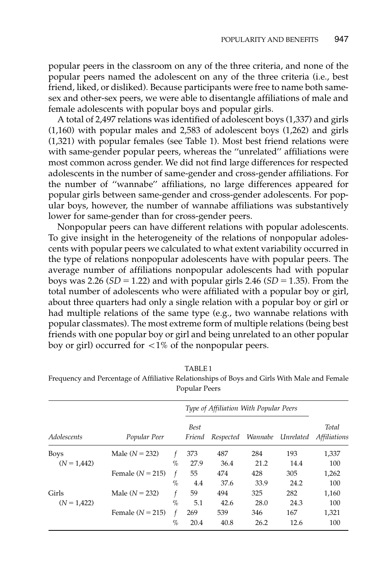popular peers in the classroom on any of the three criteria, and none of the popular peers named the adolescent on any of the three criteria (i.e., best friend, liked, or disliked). Because participants were free to name both samesex and other-sex peers, we were able to disentangle affiliations of male and female adolescents with popular boys and popular girls.

A total of 2,497 relations was identified of adolescent boys (1,337) and girls (1,160) with popular males and 2,583 of adolescent boys (1,262) and girls (1,321) with popular females (see Table 1). Most best friend relations were with same-gender popular peers, whereas the ''unrelated'' affiliations were most common across gender. We did not find large differences for respected adolescents in the number of same-gender and cross-gender affiliations. For the number of ''wannabe'' affiliations, no large differences appeared for popular girls between same-gender and cross-gender adolescents. For popular boys, however, the number of wannabe affiliations was substantively lower for same-gender than for cross-gender peers.

Nonpopular peers can have different relations with popular adolescents. To give insight in the heterogeneity of the relations of nonpopular adolescents with popular peers we calculated to what extent variability occurred in the type of relations nonpopular adolescents have with popular peers. The average number of affiliations nonpopular adolescents had with popular boys was 2.26 ( $SD = 1.22$ ) and with popular girls 2.46 ( $SD = 1.35$ ). From the total number of adolescents who were affiliated with a popular boy or girl, about three quarters had only a single relation with a popular boy or girl or had multiple relations of the same type (e.g., two wannabe relations with popular classmates). The most extreme form of multiple relations (being best friends with one popular boy or girl and being unrelated to an other popular boy or girl) occurred for  $<$  1% of the nonpopular peers.

|               |                    |      | Type of Affiliation With Popular Peers | Total<br><i>Affiliations</i> |      |                   |       |
|---------------|--------------------|------|----------------------------------------|------------------------------|------|-------------------|-------|
| Adolescents   | Popular Peer       |      | <b>Best</b><br>Friend<br>Respected     |                              |      | Wannabe Unrelated |       |
| <b>Boys</b>   | Male $(N = 232)$   |      | 373                                    | 487                          | 284  | 193               | 1,337 |
| $(N = 1,442)$ |                    | $\%$ | 27.9                                   | 36.4                         | 21.2 | 14.4              | 100   |
|               | Female $(N = 215)$ | f    | 55                                     | 474                          | 428  | 305               | 1,262 |
|               |                    | %    | 4.4                                    | 37.6                         | 33.9 | 24.2              | 100   |
| Girls         | Male $(N = 232)$   |      | 59                                     | 494                          | 325  | 282               | 1,160 |
| $(N = 1,422)$ |                    | $\%$ | 5.1                                    | 42.6                         | 28.0 | 24.3              | 100   |
|               | Female $(N = 215)$ |      | 269                                    | 539                          | 346  | 167               | 1,321 |
|               |                    | %    | 20.4                                   | 40.8                         | 26.2 | 12.6              | 100   |

TABLE 1 Frequency and Percentage of Affiliative Relationships of Boys and Girls With Male and Female Popular Peers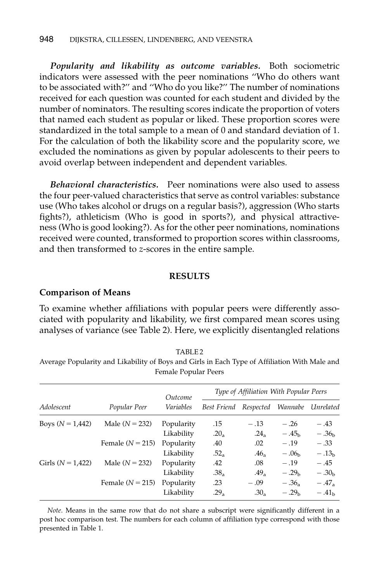Popularity and likability as outcome variables. Both sociometric indicators were assessed with the peer nominations ''Who do others want to be associated with?'' and ''Who do you like?'' The number of nominations received for each question was counted for each student and divided by the number of nominators. The resulting scores indicate the proportion of voters that named each student as popular or liked. These proportion scores were standardized in the total sample to a mean of 0 and standard deviation of 1. For the calculation of both the likability score and the popularity score, we excluded the nominations as given by popular adolescents to their peers to avoid overlap between independent and dependent variables.

Behavioral characteristics. Peer nominations were also used to assess the four peer-valued characteristics that serve as control variables: substance use (Who takes alcohol or drugs on a regular basis?), aggression (Who starts fights?), athleticism (Who is good in sports?), and physical attractiveness (Who is good looking?). As for the other peer nominations, nominations received were counted, transformed to proportion scores within classrooms, and then transformed to z-scores in the entire sample.

#### RESULTS

### Comparison of Means

To examine whether affiliations with popular peers were differently associated with popularity and likability, we first compared mean scores using analyses of variance (see Table 2). Here, we explicitly disentangled relations

| Female Popular Peers |                    |                      |                                        |                  |         |                   |  |  |  |
|----------------------|--------------------|----------------------|----------------------------------------|------------------|---------|-------------------|--|--|--|
|                      |                    | Outcome<br>Variables | Type of Affiliation With Popular Peers |                  |         |                   |  |  |  |
| Adolescent           | Popular Peer       |                      | Best Friend                            | Respected        |         | Wannabe Unrelated |  |  |  |
| Boys $(N = 1,442)$   | Male $(N = 232)$   | Popularity           | .15                                    | $-.13$           | $-.26$  | $-.43$            |  |  |  |
|                      |                    | Likability           | $.20_a$                                | .24 <sub>a</sub> | $-.45b$ | $-.36b$           |  |  |  |
|                      | Female $(N = 215)$ | Popularity           | .40                                    | .02              | $-.19$  | $-.33$            |  |  |  |
|                      |                    | Likability           | .52 <sub>a</sub>                       | .46 <sub>a</sub> | $-.06b$ | $-.13b$           |  |  |  |
| Girls $(N = 1,422)$  | Male $(N = 232)$   | Popularity           | .42                                    | .08              | $-.19$  | $-.45$            |  |  |  |
|                      |                    | Likability           | .38 <sub>a</sub>                       | .49 <sub>a</sub> | $-.29b$ | $-.30b$           |  |  |  |
|                      | Female $(N = 215)$ | Popularity           | .23                                    | $-.09$           | $-.36a$ | $-.47a$           |  |  |  |
|                      |                    | Likability           | $.29_a$                                | $.30_a$          | $-.29b$ | $-.41b$           |  |  |  |

TABLE 2 Average Popularity and Likability of Boys and Girls in Each Type of Affiliation With Male and

Note. Means in the same row that do not share a subscript were significantly different in a post hoc comparison test. The numbers for each column of affiliation type correspond with those presented in Table 1.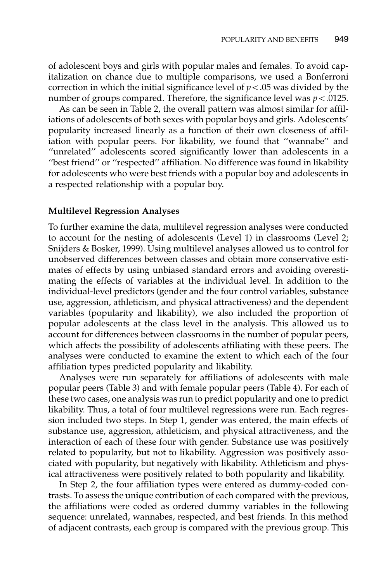of adolescent boys and girls with popular males and females. To avoid capitalization on chance due to multiple comparisons, we used a Bonferroni correction in which the initial significance level of  $p < 0.05$  was divided by the number of groups compared. Therefore, the significance level was  $p < .0125$ .

As can be seen in Table 2, the overall pattern was almost similar for affiliations of adolescents of both sexes with popular boys and girls. Adolescents' popularity increased linearly as a function of their own closeness of affiliation with popular peers. For likability, we found that ''wannabe'' and ''unrelated'' adolescents scored significantly lower than adolescents in a ''best friend'' or ''respected'' affiliation. No difference was found in likability for adolescents who were best friends with a popular boy and adolescents in a respected relationship with a popular boy.

### Multilevel Regression Analyses

To further examine the data, multilevel regression analyses were conducted to account for the nesting of adolescents (Level 1) in classrooms (Level 2; Snijders & Bosker, 1999). Using multilevel analyses allowed us to control for unobserved differences between classes and obtain more conservative estimates of effects by using unbiased standard errors and avoiding overestimating the effects of variables at the individual level. In addition to the individual-level predictors (gender and the four control variables, substance use, aggression, athleticism, and physical attractiveness) and the dependent variables (popularity and likability), we also included the proportion of popular adolescents at the class level in the analysis. This allowed us to account for differences between classrooms in the number of popular peers, which affects the possibility of adolescents affiliating with these peers. The analyses were conducted to examine the extent to which each of the four affiliation types predicted popularity and likability.

Analyses were run separately for affiliations of adolescents with male popular peers (Table 3) and with female popular peers (Table 4). For each of these two cases, one analysis was run to predict popularity and one to predict likability. Thus, a total of four multilevel regressions were run. Each regression included two steps. In Step 1, gender was entered, the main effects of substance use, aggression, athleticism, and physical attractiveness, and the interaction of each of these four with gender. Substance use was positively related to popularity, but not to likability. Aggression was positively associated with popularity, but negatively with likability. Athleticism and physical attractiveness were positively related to both popularity and likability.

In Step 2, the four affiliation types were entered as dummy-coded contrasts. To assess the unique contribution of each compared with the previous, the affiliations were coded as ordered dummy variables in the following sequence: unrelated, wannabes, respected, and best friends. In this method of adjacent contrasts, each group is compared with the previous group. This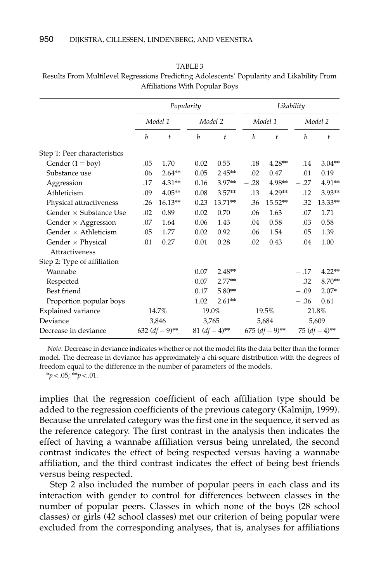|                                            |                   | Popularity | Likability       |           |                   |           |                  |           |
|--------------------------------------------|-------------------|------------|------------------|-----------|-------------------|-----------|------------------|-----------|
|                                            | Model 1           |            | Model 2          |           | Model 1           |           | Model 2          |           |
|                                            | b                 | t          | b                | t         | b                 | t         | b                | t         |
| Step 1: Peer characteristics               |                   |            |                  |           |                   |           |                  |           |
| Gender $(1 = boy)$                         | .05               | 1.70       | $-0.02$          | 0.55      | .18               | 4.28**    | .14              | $3.04***$ |
| Substance use                              | .06               | $2.64***$  | 0.05             | $2.45***$ | .02               | 0.47      | .01              | 0.19      |
| Aggression                                 | .17               | $4.31***$  | 0.16             | $3.97**$  | $-.28$            | $4.98***$ | $-.27$           | 4.91**    |
| Athleticism                                | .09               | $4.05***$  | 0.08             | $3.57***$ | .13               | $4.29***$ | .12              | $3.93***$ |
| Physical attractiveness                    | .26               | $16.13**$  | 0.23             | 13.71**   | .36               | 15.52**   | .32              | 13.33**   |
| Gender $\times$ Substance Use              | .02               | 0.89       | 0.02             | 0.70      | .06               | 1.63      | .07              | 1.71      |
| Gender $\times$ Aggression                 | $-.07$            | 1.64       | $-0.06$          | 1.43      | .04               | 0.58      | .03              | 0.58      |
| Gender $\times$ Athleticism                | .05               | 1.77       | 0.02             | 0.92      | .06               | 1.54      | .05              | 1.39      |
| Gender $\times$ Physical<br>Attractiveness | .01               | 0.27       | 0.01             | 0.28      | .02               | 0.43      | .04              | 1.00      |
| Step 2: Type of affiliation                |                   |            |                  |           |                   |           |                  |           |
| Wannabe                                    |                   |            | 0.07             | $2.48**$  |                   |           | $-.17$           | $4.22***$ |
| Respected                                  |                   |            | 0.07             | $2.77***$ |                   |           | .32              | $8.70***$ |
| Best friend                                |                   |            | 0.17             | $5.80**$  |                   |           | $-.09$           | $2.07*$   |
| Proportion popular boys                    |                   |            | 1.02             | $2.61**$  |                   |           | $-.36$           | 0.61      |
| Explained variance<br>14.7%                |                   |            | 19.0%            |           | 19.5%             |           | 21.8%            |           |
| Deviance                                   | 3,846             |            | 3,765            |           | 5,684             |           | 5,609            |           |
| Decrease in deviance                       | 632 $(df = 9)$ ** |            | 81 $(df = 4)$ ** |           | 675 $(df = 9)$ ** |           | 75 $(df = 4)$ ** |           |

TABLE 3 Results From Multilevel Regressions Predicting Adolescents' Popularity and Likability From Affiliations With Popular Boys

Note. Decrease in deviance indicates whether or not the model fits the data better than the former model. The decrease in deviance has approximately a chi-square distribution with the degrees of freedom equal to the difference in the number of parameters of the models.

 $np<.05; **p<.01.$ 

implies that the regression coefficient of each affiliation type should be added to the regression coefficients of the previous category (Kalmijn, 1999). Because the unrelated category was the first one in the sequence, it served as the reference category. The first contrast in the analysis then indicates the effect of having a wannabe affiliation versus being unrelated, the second contrast indicates the effect of being respected versus having a wannabe affiliation, and the third contrast indicates the effect of being best friends versus being respected.

Step 2 also included the number of popular peers in each class and its interaction with gender to control for differences between classes in the number of popular peers. Classes in which none of the boys (28 school classes) or girls (42 school classes) met our criterion of being popular were excluded from the corresponding analyses, that is, analyses for affiliations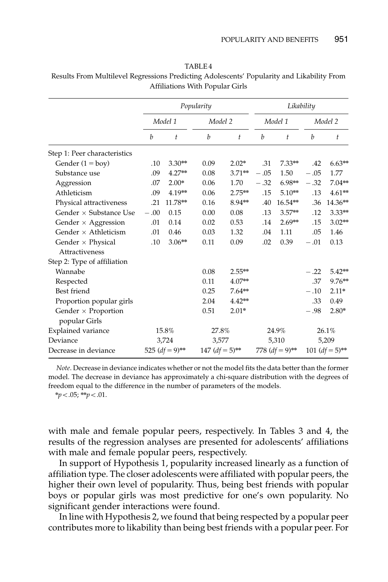|                               | Popularity |                 |                   |           | Likability        |           |                   |           |  |
|-------------------------------|------------|-----------------|-------------------|-----------|-------------------|-----------|-------------------|-----------|--|
|                               | Model 1    |                 | Model 2           |           | Model 1           |           | Model 2           |           |  |
|                               | b          | t               | b                 | t         | b                 | t         | b                 | t         |  |
| Step 1: Peer characteristics  |            |                 |                   |           |                   |           |                   |           |  |
| Gender $(1 = boy)$            | .10        | $3.30**$        | 0.09              | $2.02*$   | .31               | $7.33**$  | .42               | $6.63***$ |  |
| Substance use                 | .09        | $4.27**$        | 0.08              | $3.71**$  | $-.05$            | 1.50      | $-.05$            | 1.77      |  |
| Aggression                    | .07        | $2.00*$         | 0.06              | 1.70      | $-.32$            | $6.98***$ | $-.32$            | $7.04***$ |  |
| Athleticism                   | .09        | 4.19**          | 0.06              | $2.75***$ | .15               | $5.10***$ | .13               | $4.61***$ |  |
| Physical attractiveness       | .21        | 11.78**         | 0.16              | $8.94***$ | .40               | 16.54**   | .36               | 14.36**   |  |
| Gender $\times$ Substance Use | $-.00$     | 0.15            | 0.00              | 0.08      | .13               | $3.57**$  | .12               | 3.33**    |  |
| Gender $\times$ Aggression    | .01        | 0.14            | 0.02              | 0.53      | .14               | 2.69**    | .15               | $3.02***$ |  |
| Gender $\times$ Athleticism   | .01        | 0.46            | 0.03              | 1.32      | .04               | 1.11      | .05               | 1.46      |  |
| Gender $\times$ Physical      | .10        | $3.06***$       | 0.11              | 0.09      | .02               | 0.39      | $-.01$            | 0.13      |  |
| Attractiveness                |            |                 |                   |           |                   |           |                   |           |  |
| Step 2: Type of affiliation   |            |                 |                   |           |                   |           |                   |           |  |
| Wannabe                       |            |                 | 0.08              | $2.55***$ |                   |           | $-.22$            | $5.42***$ |  |
| Respected                     |            |                 | 0.11              | $4.07**$  |                   |           | .37               | $9.76***$ |  |
| Best friend                   |            |                 | 0.25              | 7.64**    |                   |           | $-.10$            | $2.11*$   |  |
| Proportion popular girls      |            |                 | 2.04              | 4.42**    |                   |           | .33               | 0.49      |  |
| Gender $\times$ Proportion    |            |                 | 0.51              | $2.01*$   |                   |           | $-.98$            | $2.80*$   |  |
| popular Girls                 |            |                 |                   |           |                   |           |                   |           |  |
| Explained variance            | 15.8%      |                 | 27.8%             |           | 24.9%             |           | 26.1%             |           |  |
| Deviance                      |            | 3,724           |                   | 3,577     |                   | 5,310     |                   | 5,209     |  |
| Decrease in deviance          |            | 525 $(df = 9)*$ | 147 $(df = 5)$ ** |           | 778 $(df = 9)$ ** |           | 101 $(df = 5)$ ** |           |  |

TABLE 4 Results From Multilevel Regressions Predicting Adolescents' Popularity and Likability From Affiliations With Popular Girls

Note. Decrease in deviance indicates whether or not the model fits the data better than the former model. The decrease in deviance has approximately a chi-square distribution with the degrees of freedom equal to the difference in the number of parameters of the models.

\* $p < .05$ ; \*\* $p < .01$ .

with male and female popular peers, respectively. In Tables 3 and 4, the results of the regression analyses are presented for adolescents' affiliations with male and female popular peers, respectively.

In support of Hypothesis 1, popularity increased linearly as a function of affiliation type. The closer adolescents were affiliated with popular peers, the higher their own level of popularity. Thus, being best friends with popular boys or popular girls was most predictive for one's own popularity. No significant gender interactions were found.

In line with Hypothesis 2, we found that being respected by a popular peer contributes more to likability than being best friends with a popular peer. For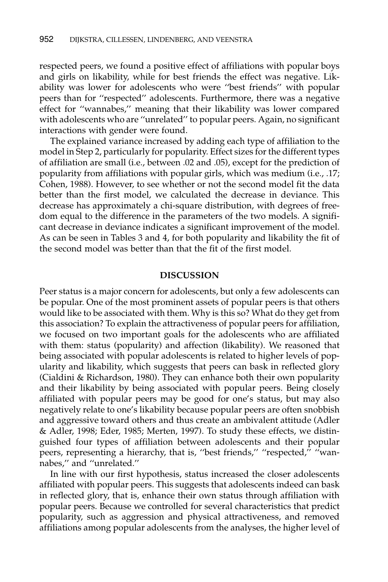respected peers, we found a positive effect of affiliations with popular boys and girls on likability, while for best friends the effect was negative. Likability was lower for adolescents who were ''best friends'' with popular peers than for ''respected'' adolescents. Furthermore, there was a negative effect for ''wannabes,'' meaning that their likability was lower compared with adolescents who are ''unrelated'' to popular peers. Again, no significant interactions with gender were found.

The explained variance increased by adding each type of affiliation to the model in Step 2, particularly for popularity. Effect sizes for the different types of affiliation are small (i.e., between .02 and .05), except for the prediction of popularity from affiliations with popular girls, which was medium (i.e., .17; Cohen, 1988). However, to see whether or not the second model fit the data better than the first model, we calculated the decrease in deviance. This decrease has approximately a chi-square distribution, with degrees of freedom equal to the difference in the parameters of the two models. A significant decrease in deviance indicates a significant improvement of the model. As can be seen in Tables 3 and 4, for both popularity and likability the fit of the second model was better than that the fit of the first model.

#### DISCUSSION

Peer status is a major concern for adolescents, but only a few adolescents can be popular. One of the most prominent assets of popular peers is that others would like to be associated with them. Why is this so? What do they get from this association? To explain the attractiveness of popular peers for affiliation, we focused on two important goals for the adolescents who are affiliated with them: status (popularity) and affection (likability). We reasoned that being associated with popular adolescents is related to higher levels of popularity and likability, which suggests that peers can bask in reflected glory (Cialdini & Richardson, 1980). They can enhance both their own popularity and their likability by being associated with popular peers. Being closely affiliated with popular peers may be good for one's status, but may also negatively relate to one's likability because popular peers are often snobbish and aggressive toward others and thus create an ambivalent attitude (Adler & Adler, 1998; Eder, 1985; Merten, 1997). To study these effects, we distinguished four types of affiliation between adolescents and their popular peers, representing a hierarchy, that is, "best friends," "respected," "wannabes,'' and ''unrelated.''

In line with our first hypothesis, status increased the closer adolescents affiliated with popular peers. This suggests that adolescents indeed can bask in reflected glory, that is, enhance their own status through affiliation with popular peers. Because we controlled for several characteristics that predict popularity, such as aggression and physical attractiveness, and removed affiliations among popular adolescents from the analyses, the higher level of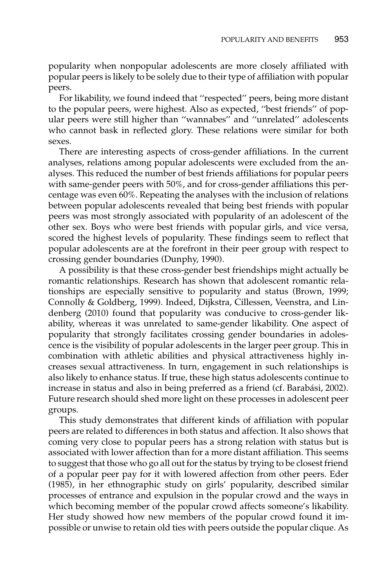popularity when nonpopular adolescents are more closely affiliated with popular peers is likely to be solely due to their type of affiliation with popular peers.

For likability, we found indeed that ''respected'' peers, being more distant to the popular peers, were highest. Also as expected, ''best friends'' of popular peers were still higher than ''wannabes'' and ''unrelated'' adolescents who cannot bask in reflected glory. These relations were similar for both sexes.

There are interesting aspects of cross-gender affiliations. In the current analyses, relations among popular adolescents were excluded from the analyses. This reduced the number of best friends affiliations for popular peers with same-gender peers with 50%, and for cross-gender affiliations this percentage was even 60%. Repeating the analyses with the inclusion of relations between popular adolescents revealed that being best friends with popular peers was most strongly associated with popularity of an adolescent of the other sex. Boys who were best friends with popular girls, and vice versa, scored the highest levels of popularity. These findings seem to reflect that popular adolescents are at the forefront in their peer group with respect to crossing gender boundaries (Dunphy, 1990).

A possibility is that these cross-gender best friendships might actually be romantic relationships. Research has shown that adolescent romantic relationships are especially sensitive to popularity and status (Brown, 1999; Connolly & Goldberg, 1999). Indeed, Dijkstra, Cillessen, Veenstra, and Lindenberg (2010) found that popularity was conducive to cross-gender likability, whereas it was unrelated to same-gender likability. One aspect of popularity that strongly facilitates crossing gender boundaries in adolescence is the visibility of popular adolescents in the larger peer group. This in combination with athletic abilities and physical attractiveness highly increases sexual attractiveness. In turn, engagement in such relationships is also likely to enhance status. If true, these high status adolescents continue to increase in status and also in being preferred as a friend (cf. Barabási, 2002). Future research should shed more light on these processes in adolescent peer groups.

This study demonstrates that different kinds of affiliation with popular peers are related to differences in both status and affection. It also shows that coming very close to popular peers has a strong relation with status but is associated with lower affection than for a more distant affiliation. This seems to suggest that those who go all out for the status by trying to be closest friend of a popular peer pay for it with lowered affection from other peers. Eder (1985), in her ethnographic study on girls' popularity, described similar processes of entrance and expulsion in the popular crowd and the ways in which becoming member of the popular crowd affects someone's likability. Her study showed how new members of the popular crowd found it impossible or unwise to retain old ties with peers outside the popular clique. As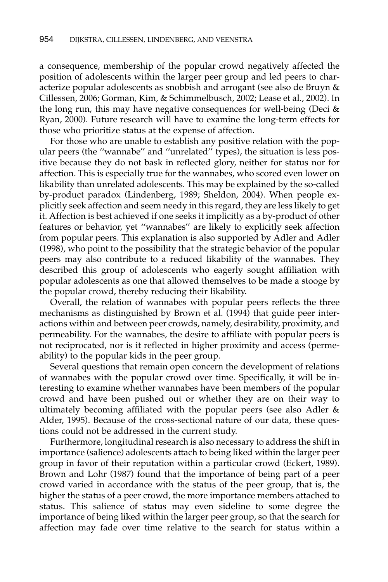a consequence, membership of the popular crowd negatively affected the position of adolescents within the larger peer group and led peers to characterize popular adolescents as snobbish and arrogant (see also de Bruyn & Cillessen, 2006; Gorman, Kim, & Schimmelbusch, 2002; Lease et al., 2002). In the long run, this may have negative consequences for well-being (Deci  $\&$ Ryan, 2000). Future research will have to examine the long-term effects for those who prioritize status at the expense of affection.

For those who are unable to establish any positive relation with the popular peers (the ''wannabe'' and ''unrelated'' types), the situation is less positive because they do not bask in reflected glory, neither for status nor for affection. This is especially true for the wannabes, who scored even lower on likability than unrelated adolescents. This may be explained by the so-called by-product paradox (Lindenberg, 1989; Sheldon, 2004). When people explicitly seek affection and seem needy in this regard, they are less likely to get it. Affection is best achieved if one seeks it implicitly as a by-product of other features or behavior, yet ''wannabes'' are likely to explicitly seek affection from popular peers. This explanation is also supported by Adler and Adler (1998), who point to the possibility that the strategic behavior of the popular peers may also contribute to a reduced likability of the wannabes. They described this group of adolescents who eagerly sought affiliation with popular adolescents as one that allowed themselves to be made a stooge by the popular crowd, thereby reducing their likability.

Overall, the relation of wannabes with popular peers reflects the three mechanisms as distinguished by Brown et al. (1994) that guide peer interactions within and between peer crowds, namely, desirability, proximity, and permeability. For the wannabes, the desire to affiliate with popular peers is not reciprocated, nor is it reflected in higher proximity and access (permeability) to the popular kids in the peer group.

Several questions that remain open concern the development of relations of wannabes with the popular crowd over time. Specifically, it will be interesting to examine whether wannabes have been members of the popular crowd and have been pushed out or whether they are on their way to ultimately becoming affiliated with the popular peers (see also Adler  $\&$ Alder, 1995). Because of the cross-sectional nature of our data, these questions could not be addressed in the current study.

Furthermore, longitudinal research is also necessary to address the shift in importance (salience) adolescents attach to being liked within the larger peer group in favor of their reputation within a particular crowd (Eckert, 1989). Brown and Lohr (1987) found that the importance of being part of a peer crowd varied in accordance with the status of the peer group, that is, the higher the status of a peer crowd, the more importance members attached to status. This salience of status may even sideline to some degree the importance of being liked within the larger peer group, so that the search for affection may fade over time relative to the search for status within a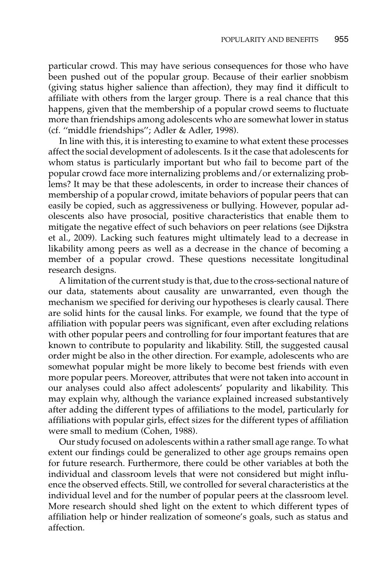particular crowd. This may have serious consequences for those who have been pushed out of the popular group. Because of their earlier snobbism (giving status higher salience than affection), they may find it difficult to affiliate with others from the larger group. There is a real chance that this happens, given that the membership of a popular crowd seems to fluctuate more than friendships among adolescents who are somewhat lower in status (cf. ''middle friendships''; Adler & Adler, 1998).

In line with this, it is interesting to examine to what extent these processes affect the social development of adolescents. Is it the case that adolescents for whom status is particularly important but who fail to become part of the popular crowd face more internalizing problems and/or externalizing problems? It may be that these adolescents, in order to increase their chances of membership of a popular crowd, imitate behaviors of popular peers that can easily be copied, such as aggressiveness or bullying. However, popular adolescents also have prosocial, positive characteristics that enable them to mitigate the negative effect of such behaviors on peer relations (see Dijkstra et al., 2009). Lacking such features might ultimately lead to a decrease in likability among peers as well as a decrease in the chance of becoming a member of a popular crowd. These questions necessitate longitudinal research designs.

A limitation of the current study is that, due to the cross-sectional nature of our data, statements about causality are unwarranted, even though the mechanism we specified for deriving our hypotheses is clearly causal. There are solid hints for the causal links. For example, we found that the type of affiliation with popular peers was significant, even after excluding relations with other popular peers and controlling for four important features that are known to contribute to popularity and likability. Still, the suggested causal order might be also in the other direction. For example, adolescents who are somewhat popular might be more likely to become best friends with even more popular peers. Moreover, attributes that were not taken into account in our analyses could also affect adolescents' popularity and likability. This may explain why, although the variance explained increased substantively after adding the different types of affiliations to the model, particularly for affiliations with popular girls, effect sizes for the different types of affiliation were small to medium (Cohen, 1988).

Our study focused on adolescents within a rather small age range. To what extent our findings could be generalized to other age groups remains open for future research. Furthermore, there could be other variables at both the individual and classroom levels that were not considered but might influence the observed effects. Still, we controlled for several characteristics at the individual level and for the number of popular peers at the classroom level. More research should shed light on the extent to which different types of affiliation help or hinder realization of someone's goals, such as status and affection.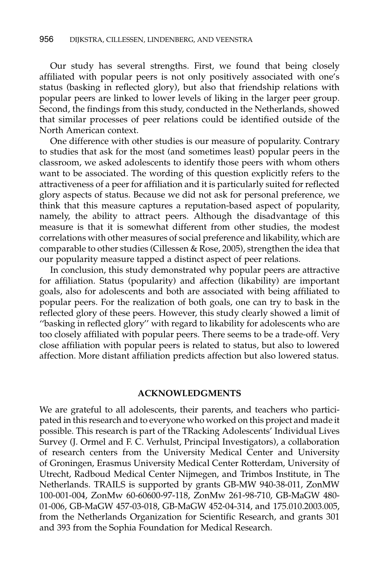Our study has several strengths. First, we found that being closely affiliated with popular peers is not only positively associated with one's status (basking in reflected glory), but also that friendship relations with popular peers are linked to lower levels of liking in the larger peer group. Second, the findings from this study, conducted in the Netherlands, showed that similar processes of peer relations could be identified outside of the North American context.

One difference with other studies is our measure of popularity. Contrary to studies that ask for the most (and sometimes least) popular peers in the classroom, we asked adolescents to identify those peers with whom others want to be associated. The wording of this question explicitly refers to the attractiveness of a peer for affiliation and it is particularly suited for reflected glory aspects of status. Because we did not ask for personal preference, we think that this measure captures a reputation-based aspect of popularity, namely, the ability to attract peers. Although the disadvantage of this measure is that it is somewhat different from other studies, the modest correlations with other measures of social preference and likability, which are comparable to other studies (Cillessen & Rose, 2005), strengthen the idea that our popularity measure tapped a distinct aspect of peer relations.

In conclusion, this study demonstrated why popular peers are attractive for affiliation. Status (popularity) and affection (likability) are important goals, also for adolescents and both are associated with being affiliated to popular peers. For the realization of both goals, one can try to bask in the reflected glory of these peers. However, this study clearly showed a limit of ''basking in reflected glory'' with regard to likability for adolescents who are too closely affiliated with popular peers. There seems to be a trade-off. Very close affiliation with popular peers is related to status, but also to lowered affection. More distant affiliation predicts affection but also lowered status.

### ACKNOWLEDGMENTS

We are grateful to all adolescents, their parents, and teachers who participated in this research and to everyone who worked on this project and made it possible. This research is part of the TRacking Adolescents' Individual Lives Survey (J. Ormel and F. C. Verhulst, Principal Investigators), a collaboration of research centers from the University Medical Center and University of Groningen, Erasmus University Medical Center Rotterdam, University of Utrecht, Radboud Medical Center Nijmegen, and Trimbos Institute, in The Netherlands. TRAILS is supported by grants GB-MW 940-38-011, ZonMW 100-001-004, ZonMw 60-60600-97-118, ZonMw 261-98-710, GB-MaGW 480- 01-006, GB-MaGW 457-03-018, GB-MaGW 452-04-314, and 175.010.2003.005, from the Netherlands Organization for Scientific Research, and grants 301 and 393 from the Sophia Foundation for Medical Research.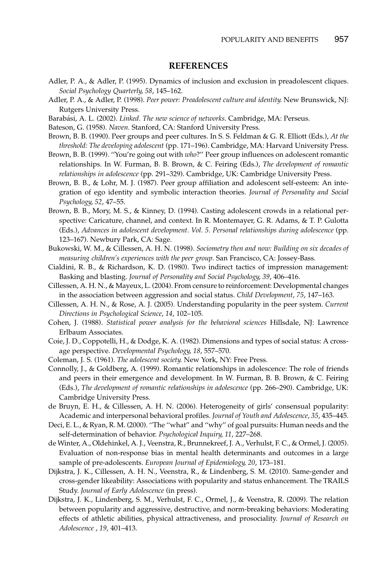### **REFERENCES**

- Adler, P. A., & Adler, P. (1995). Dynamics of inclusion and exclusion in preadolescent cliques. Social Psychology Quarterly, 58, 145–162.
- Adler, P. A., & Adler, P. (1998). Peer power: Preadolescent culture and identity. New Brunswick, NJ: Rutgers University Press.
- Barabási, A. L. (2002). Linked. The new science of networks. Cambridge, MA: Perseus.
- Bateson, G. (1958). Naven. Stanford, CA: Stanford University Press.
- Brown, B. B. (1990). Peer groups and peer cultures. In S. S. Feldman & G. R. Elliott (Eds.), At the threshold: The developing adolescent (pp. 171–196). Cambridge, MA: Harvard University Press.
- Brown, B. B. (1999). "You're going out with who?" Peer group influences on adolescent romantic relationships. In W. Furman, B. B. Brown, & C. Feiring (Eds.), The development of romantic relationships in adolescence (pp. 291–329). Cambridge, UK: Cambridge University Press.
- Brown, B. B., & Lohr, M. J. (1987). Peer group affiliation and adolescent self-esteem: An integration of ego identity and symbolic interaction theories. Journal of Personality and Social Psychology, 52, 47–55.
- Brown, B. B., Mory, M. S., & Kinney, D. (1994). Casting adolescent crowds in a relational perspective: Caricature, channel, and context. In R. Montemayer, G. R. Adams, & T. P. Gulotta (Eds.), Advances in adolescent development. Vol. 5. Personal relationships during adolescence (pp. 123–167). Newbury Park, CA: Sage.
- Bukowski, W. M., & Cillessen, A. H. N. (1998). Sociometry then and now: Building on six decades of measuring children's experiences with the peer group. San Francisco, CA: Jossey-Bass.
- Cialdini, R. B., & Richardson, K. D. (1980). Two indirect tactics of impression management: Basking and blasting. Journal of Personality and Social Psychology, 39, 406–416.
- Cillessen, A. H. N., & Mayeux, L. (2004). From censure to reinforcement: Developmental changes in the association between aggression and social status. Child Development, 75, 147–163.
- Cillessen, A. H. N., & Rose, A. J. (2005). Understanding popularity in the peer system. Current Directions in Psychological Science, 14, 102–105.
- Cohen, J. (1988). Statistical power analysis for the behavioral sciences Hillsdale, NJ: Lawrence Erlbaum Associates.
- Coie, J. D., Coppotelli, H., & Dodge, K. A. (1982). Dimensions and types of social status: A crossage perspective. Developmental Psychology, 18, 557–570.
- Coleman, J. S. (1961). The adolescent society. New York, NY: Free Press.
- Connolly, J., & Goldberg, A. (1999). Romantic relationships in adolescence: The role of friends and peers in their emergence and development. In W. Furman, B. B. Brown,  $\&$  C. Feiring (Eds.), The development of romantic relationships in adolescence (pp. 266–290). Cambridge, UK: Cambridge University Press.
- de Bruyn, E. H., & Cillessen, A. H. N. (2006). Heterogeneity of girls' consensual popularity: Academic and interpersonal behavioral profiles. Journal of Youth and Adolescence, 35, 435–445.
- Deci, E. L., & Ryan, R. M. (2000). ''The ''what'' and ''why'' of goal pursuits: Human needs and the self-determination of behavior. Psychological Inquiry, 11, 227–268.
- de Winter, A., Oldehinkel, A. J., Veenstra, R., Brunnekreef, J. A., Verhulst, F. C., & Ormel, J. (2005). Evaluation of non-response bias in mental health determinants and outcomes in a large sample of pre-adolescents. European Journal of Epidemiology, 20, 173-181.
- Dijkstra, J. K., Cillessen, A. H. N., Veenstra, R., & Lindenberg, S. M. (2010). Same-gender and cross-gender likeability: Associations with popularity and status enhancement. The TRAILS Study. Journal of Early Adolescence (in press).
- Dijkstra, J. K., Lindenberg, S. M., Verhulst, F. C., Ormel, J., & Veenstra, R. (2009). The relation between popularity and aggressive, destructive, and norm-breaking behaviors: Moderating effects of athletic abilities, physical attractiveness, and prosociality. Journal of Research on Adolescence , 19, 401–413.